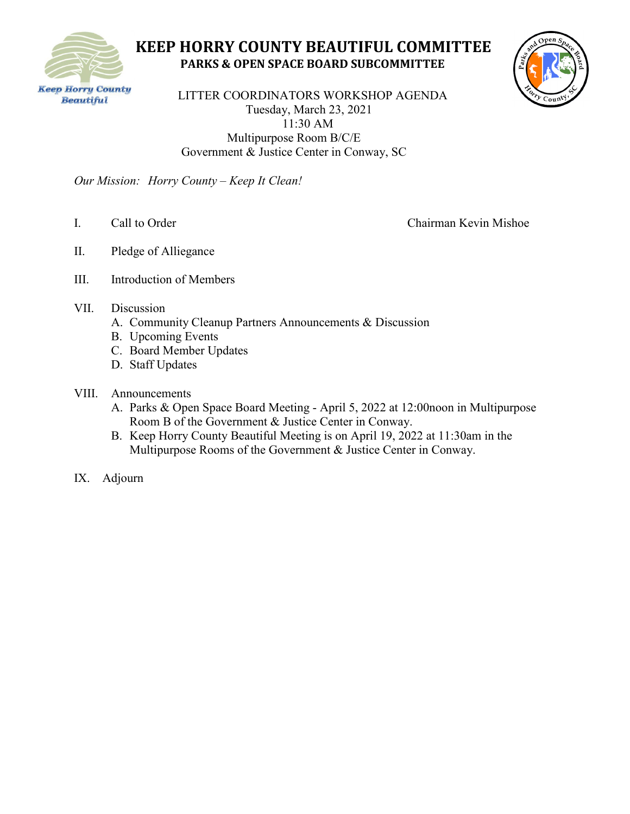

# **KEEP HORRY COUNTY BEAUTIFUL COMMITTEE PARKS & OPEN SPACE BOARD SUBCOMMITTEE**



**Even Horry County**<br>
LITTER COORDINATORS WORKSHOP AGENDA Tuesday, March 23, 2021 11:30 AM Multipurpose Room B/C/E Government & Justice Center in Conway, SC

*Our Mission: Horry County – Keep It Clean!*

I. Call to Order Chairman Kevin Mishoe

- II. Pledge of Alliegance
- III. Introduction of Members
- VII. Discussion
	- A. Community Cleanup Partners Announcements & Discussion
	- B. Upcoming Events
	- C. Board Member Updates
	- D. Staff Updates
- VIII. Announcements
	- A. Parks & Open Space Board Meeting April 5, 2022 at 12:00noon in Multipurpose Room B of the Government & Justice Center in Conway.
	- B. Keep Horry County Beautiful Meeting is on April 19, 2022 at 11:30am in the Multipurpose Rooms of the Government & Justice Center in Conway.
- IX. Adjourn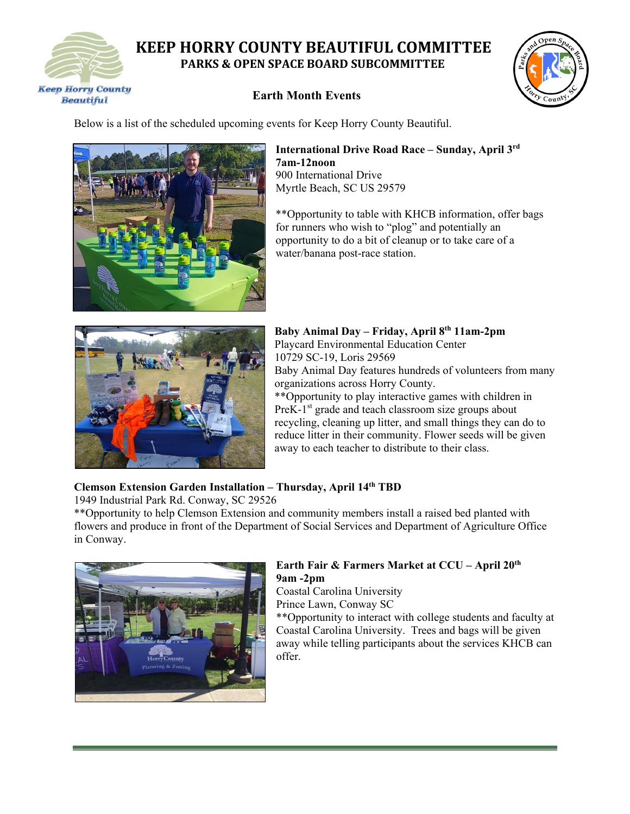

# **KEEP HORRY COUNTY BEAUTIFUL COMMITTEE PARKS & OPEN SPACE BOARD SUBCOMMITTEE**

### **Earth Month Events**



Below is a list of the scheduled upcoming events for Keep Horry County Beautiful.



#### **International Drive Road Race – Sunday, April 3rd 7am-12noon** 900 International Drive Myrtle Beach, SC US 29579

\*\*Opportunity to table with KHCB information, offer bags for runners who wish to "plog" and potentially an opportunity to do a bit of cleanup or to take care of a water/banana post-race station.



**Baby Animal Day – Friday, April 8th 11am-2pm** Playcard Environmental Education Center 10729 SC-19, Loris 29569 Baby Animal Day features hundreds of volunteers from many organizations across Horry County. \*\*Opportunity to play interactive games with children in

 $PreK-1<sup>st</sup>$  grade and teach classroom size groups about recycling, cleaning up litter, and small things they can do to reduce litter in their community. Flower seeds will be given away to each teacher to distribute to their class.

### **Clemson Extension Garden Installation – Thursday, April 14th TBD**

1949 Industrial Park Rd. Conway, SC 29526

\*\*Opportunity to help Clemson Extension and community members install a raised bed planted with flowers and produce in front of the Department of Social Services and Department of Agriculture Office in Conway.



### **Earth Fair & Farmers Market at CCU – April 20th 9am -2pm**

Coastal Carolina University Prince Lawn, Conway SC \*\*Opportunity to interact with college students and faculty at Coastal Carolina University. Trees and bags will be given away while telling participants about the services KHCB can offer.